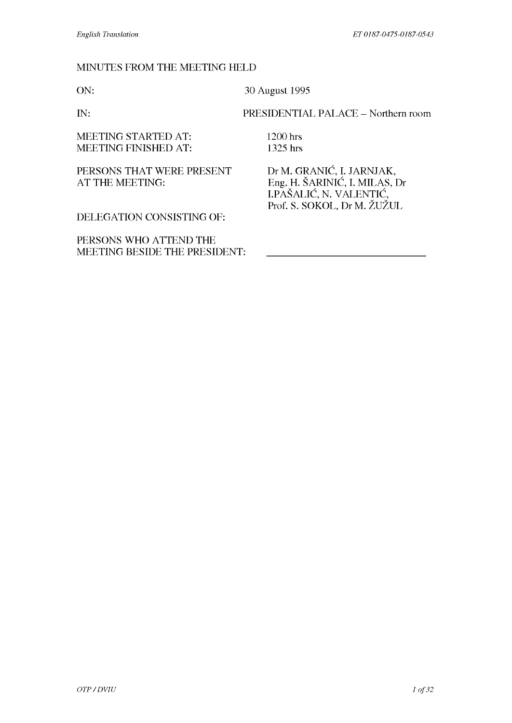### MINUTES FROM THE MEETING HELD

ON: 30 August 1995

IN: PRESIDENTIAL PALACE- Northern room

MEETING STARTED AT: 1200 hrs<br>MEETING FINISHED AT: 1325 hrs MEETING FINISHED AT:

PERSONS THAT WERE PRESENT Dr M. GRANIĆ, I. JARNJAK,<br>AT THE MEETING: Eng. H. ŠARINIĆ, I. MILAS, I

DELEGATION CONSISTING OF:

PERSONS WHO ATTEND THE MEETING BESIDE THE PRESIDENT:

Eng. H. ŠARINIĆ, I. MILAS, Dr I.PASALIC, N. V ALENTIC, Prof. S. SOKOL, Dr M. ŽUŽUL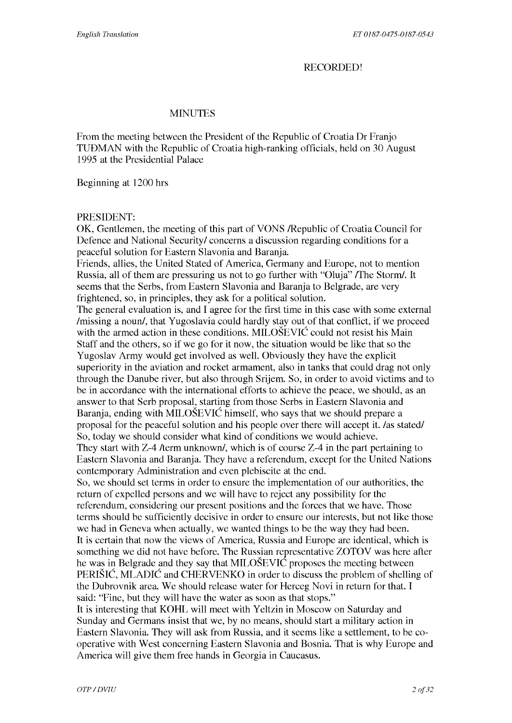### RECORDED!

### MINUTES

From the meeting between the President of the Republic of Croatia Dr Franjo TUDMAN with the Republic of Croatia high-ranking officials, held on 30 August 1995 at the Presidential Palace

Beginning at 1200 hrs

### PRESIDENT:

OK, Gentlemen, the meeting of this part of VONS /Republic of Croatia Council for Defence and National Security/ concerns a discussion regarding conditions for a peaceful solution for Eastern Slavonia and Baranja.

Friends, allies, the United Stated of America, Germany and Europe, not to mention Russia, all of them are pressuring us not to go further with "Oluja" /The Storm/. It seems that the Serbs, from Eastern Slavonia and Baranja to Belgrade, are very frightened, so, in principles, they ask for a political solution.

The general evaluation is, and I agree for the first time in this case with some external /missing a noun/, that Yugoslavia could hardly stay out of that conflict, if we proceed with the armed action in these conditions. MILOSEVIC could not resist his Main Staff and the others, so if we go for it now, the situation would be like that so the Yugoslav Army would get involved as well. Obviously they have the explicit superiority in the aviation and rocket armament, also in tanks that could drag not only through the Danube river, but also through Srijem. So, in order to avoid victims and to be in accordance with the international efforts to achieve the peace, we should, as an answer to that Serb proposal, starting from those Serbs in Eastern Slavonia and Baranja, ending with MILOSEVIC himself, who says that we should prepare a proposal for the peaceful solution and his people over there will accept it. /as stated/ So, today we should consider what kind of conditions we would achieve.

They start with Z-4 /term unknown/, which is of course Z-4 in the part pertaining to Eastern Slavonia and Baranja. They have a referendum, except for the United Nations contemporary Administration and even plebiscite at the end.

So, we should set terms in order to ensure the implementation of our authorities, the return of expelled persons and we will have to reject any possibility for the referendum, considering our present positions and the forces that we have. Those terms should be sufficiently decisive in order to ensure our interests, but not like those we had in Geneva when actually, we wanted things to be the way they had been. It is certain that now the views of America, Russia and Europe are identical, which is something we did not have before. The Russian representative ZOTOV was here after he was in Belgrade and they say that MILOSEVIC proposes the meeting between PERISIC, MLADIC and CHERVENKO in order to discuss the problem of shelling of the Dubrovnik area. We should release water for Herceg Novi in return for that. I said: "Fine, but they will have the water as soon as that stops."

It is interesting that KOHL will meet with Y eltzin in Moscow on Saturday and Sunday and Germans insist that we, by no means, should start a military action in Eastern Slavonia. They will ask from Russia, and it seems like a settlement, to be cooperative with West concerning Eastern Slavonia and Bosnia. That is why Europe and America will give them free hands in Georgia in Caucasus.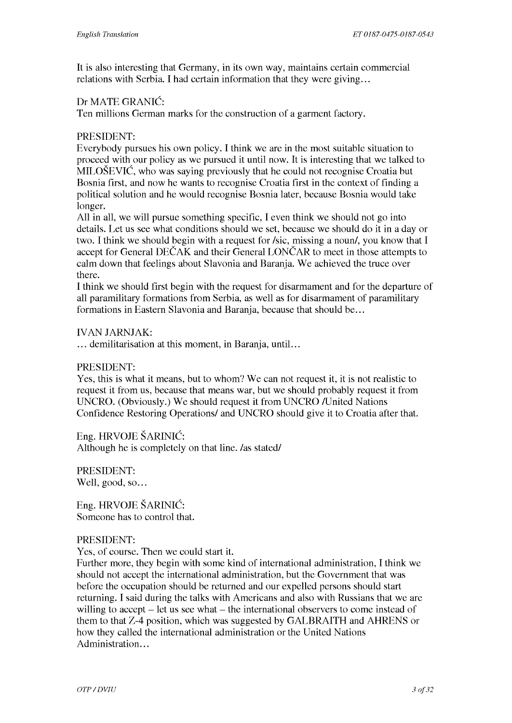It is also interesting that Germany, in its own way, maintains certain commercial relations with Serbia. I had certain information that they were giving...

# Dr MATE GRANIC:

Ten millions German marks for the construction of a garment factory.

# PRESIDENT:

Everybody pursues his own policy. I think we are in the most suitable situation to proceed with our policy as we pursued it until now. It is interesting that we talked to MILOSEVIC, who was saying previously that he could not recognise Croatia but Bosnia first, and now he wants to recognise Croatia first in the context of finding a political solution and he would recognise Bosnia later, because Bosnia would take longer.

All in all, we will pursue something specific, I even think we should not go into details. Let us see what conditions should we set, because we should do it in a day or two. I think we should begin with a request for /sic, missing a noun/, you know that I accept for General DEČAK and their General LONČAR to meet in those attempts to calm down that feelings about Slavonia and Baranja. We achieved the truce over there.

I think we should first begin with the request for disarmament and for the departure of all paramilitary formations from Serbia, as well as for disarmament of paramilitary formations in Eastern Slavonia and Baranja, because that should be ...

### IVAN JARNJAK:

... demilitarisation at this moment, in Baranja, until. ..

### PRESIDENT:

Yes, this is what it means, but to whom? We can not request it, it is not realistic to request it from us, because that means war, but we should probably request it from UNCRO. (Obviously.) We should request it from UNCRO /United Nations Confidence Restoring Operations/ and UNCRO should give it to Croatia after that.

Eng. HRVOJE SARINIC: Although he is completely on that line. /as stated/

PRESIDENT: Well, good, so...

Eng. HRVOJE SARINIC: Someone has to control that.

### PRESIDENT:

Yes, of course. Then we could start it.

Further more, they begin with some kind of international administration, I think we should not accept the international administration, but the Government that was before the occupation should be returned and our expelled persons should start returning. I said during the talks with Americans and also with Russians that we are willing to accept  $-$  let us see what  $-$  the international observers to come instead of them to that Z-4 position, which was suggested by GALBRAITH and AHRENS or how they called the international administration or the United Nations Administration...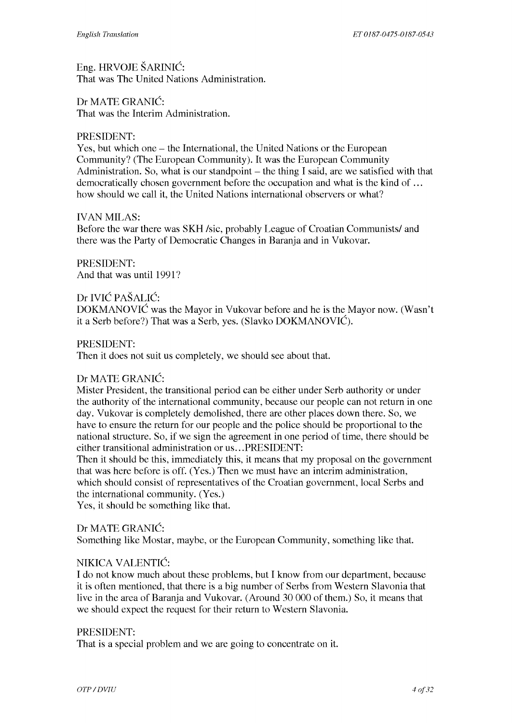Eng. HRVOJE SARINIC: That was The United Nations Administration.

Dr MATE GRANIC: That was the Interim Administration.

# PRESIDENT:

Yes, but which one- the International, the United Nations or the European Community? (The European Community). It was the European Community Administration. So, what is our standpoint  $-$  the thing I said, are we satisfied with that democratically chosen government before the occupation and what is the kind of ... how should we call it, the United Nations international observers or what?

### IVAN MILAS:

Before the war there was SKH /sic, probably League of Croatian Communists/ and there was the Party of Democratic Changes in Baranja and in Vukovar.

PRESIDENT: And that was until 1991?

# Dr IVIC PASALIC:

DOKMANOVIC was the Mayor in Vukovar before and he is the Mayor now. (Wasn't it a Serb before?) That was a Serb, yes. (Slavko DOKMANOVIC).

### PRESIDENT:

Then it does not suit us completely, we should see about that.

### Dr MATE GRANIC:

Mister President, the transitional period can be either under Serb authority or under the authority of the international community, because our people can not return in one day. Vukovar is completely demolished, there are other places down there. So, we have to ensure the return for our people and the police should be proportional to the national structure. So, if we sign the agreement in one period of time, there should be either transitional administration or us ... PRESIDENT:

Then it should be this, immediately this, it means that my proposal on the government that was here before is off. (Yes.) Then we must have an interim administration, which should consist of representatives of the Croatian government, local Serbs and the international community. (Yes.)

Yes, it should be something like that.

# Dr MATE GRANIC:

Something like Mostar, maybe, or the European Community, something like that.

### NIKICA VALENTIĆ:

I do not know much about these problems, but I know from our department, because it is often mentioned, that there is a big number of Serbs from Western Slavonia that live in the area of Baranja and Vukovar. (Around 30 000 of them.) So, it means that we should expect the request for their return to Western Slavonia.

### PRESIDENT:

That is a special problem and we are going to concentrate on it.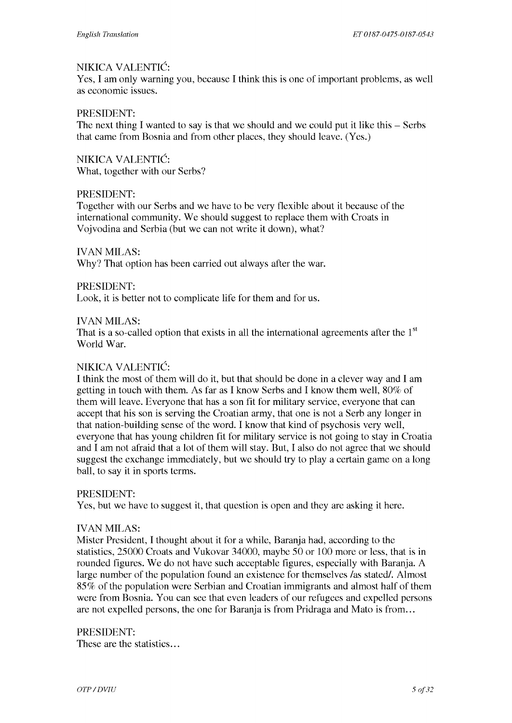### NIKICA VALENTIĆ:

Yes, I am only warning you, because I think this is one of important problems, as well as economic issues.

### PRESIDENT:

The next thing I wanted to say is that we should and we could put it like this  $-$  Serbs that came from Bosnia and from other places, they should leave. (Yes.)

NIKICA VALENTIĆ: What, together with our Serbs?

### PRESIDENT:

Together with our Serbs and we have to be very flexible about it because of the international community. We should suggest to replace them with Croats in Vojvodina and Serbia (but we can not write it down), what?

### IVAN MILAS:

Why? That option has been carried out always after the war.

### PRESIDENT:

Look, it is better not to complicate life for them and for us.

### IVAN MILAS:

That is a so-called option that exists in all the international agreements after the  $1<sup>st</sup>$ World War.

### NIKICA VALENTIĆ:

I think the most of them will do it, but that should be done in a clever way and I am getting in touch with them. As far as I know Serbs and I know them well, 80% of them will leave. Everyone that has a son fit for military service, everyone that can accept that his son is serving the Croatian army, that one is not a Serb any longer in that nation-building sense of the word. I know that kind of psychosis very well, everyone that has young children fit for military service is not going to stay in Croatia and I am not afraid that a lot of them will stay. But, I also do not agree that we should suggest the exchange immediately, but we should try to play a certain game on a long ball, to say it in sports terms.

### PRESIDENT:

Yes, but we have to suggest it, that question is open and they are asking it here.

### IVAN MILAS:

Mister President, I thought about it for a while, Baranja had, according to the statistics, 25000 Croats and Vukovar 34000, maybe 50 or 100 more or less, that is in rounded figures. We do not have such acceptable figures, especially with Baranja. A large number of the population found an existence for themselves /as stated/. Almost 85 % of the population were Serbian and Croatian immigrants and almost half of them were from Bosnia. You can see that even leaders of our refugees and expelled persons are not expelled persons, the one for Baranja is from Pridraga and Mato is from ...

PRESIDENT: These are the statistics...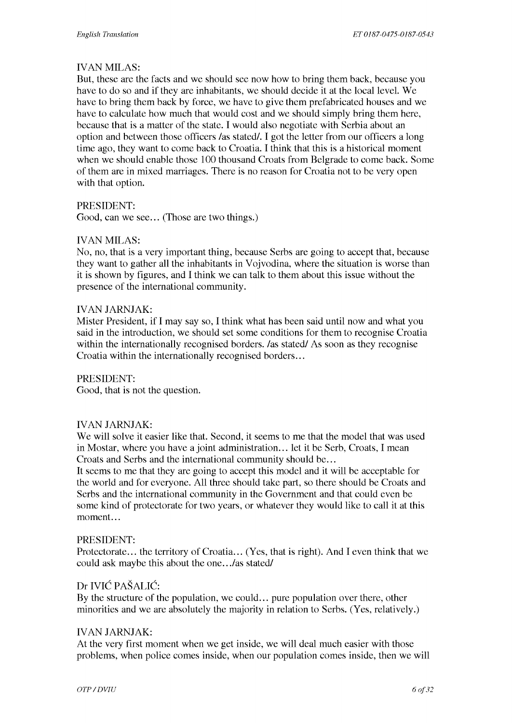# IVAN MILAS:

But, these are the facts and we should see now how to bring them back, because you have to do so and if they are inhabitants, we should decide it at the local level. We have to bring them back by force, we have to give them prefabricated houses and we have to calculate how much that would cost and we should simply bring them here, because that is a matter of the state. I would also negotiate with Serbia about an option and between those officers /as stated/. I got the letter from our officers a long time ago, they want to come back to Croatia. I think that this is a historical moment when we should enable those 100 thousand Croats from Belgrade to come back. Some of them are in mixed marriages. There is no reason for Croatia not to be very open with that option.

PRESIDENT:

Good, can we see... (Those are two things.)

### IVAN MILAS:

No, no, that is a very important thing, because Serbs are going to accept that, because they want to gather all the inhabitants in Vojvodina, where the situation is worse than it is shown by figures, and I think we can talk to them about this issue without the presence of the international community.

### IVAN JARNJAK:

Mister President, if I may say so, I think what has been said until now and what you said in the introduction, we should set some conditions for them to recognise Croatia within the internationally recognised borders. /as stated/ As soon as they recognise Croatia within the internationally recognised borders...

PRESIDENT: Good, that is not the question.

### IVAN JARNJAK:

We will solve it easier like that. Second, it seems to me that the model that was used in Mostar, where you have a joint administration ... let it be Serb, Croats, I mean Croats and Serbs and the international community should be ...

It seems to me that they are going to accept this model and it will be acceptable for the world and for everyone. All three should take part, so there should be Croats and Serbs and the international community in the Government and that could even be some kind of protectorate for two years, or whatever they would like to call it at this moment. ..

### PRESIDENT:

Protectorate... the territory of Croatia... (Yes, that is right). And I even think that we could ask maybe this about the one.../as stated/

# Dr IVIC PASALIC:

By the structure of the population, we could... pure population over there, other minorities and we are absolutely the majority in relation to Serbs. (Yes, relatively.)

### IVAN JARNJAK:

At the very first moment when we get inside, we will deal much easier with those problems, when police comes inside, when our population comes inside, then we will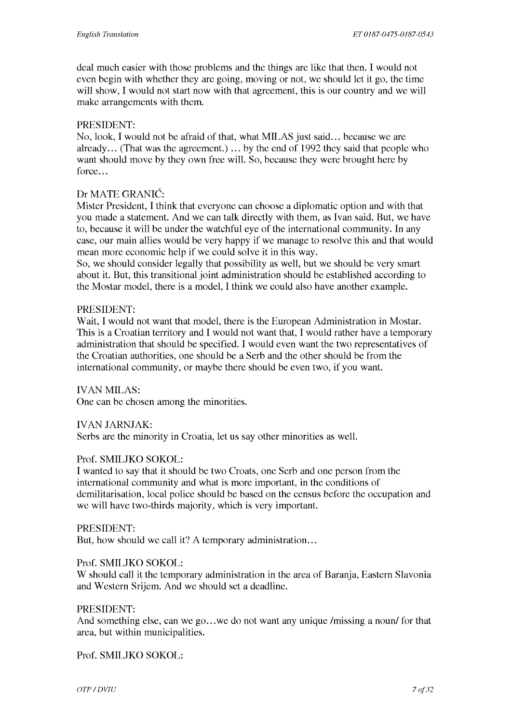deal much easier with those problems and the things are like that then. I would not even begin with whether they are going, moving or not, we should let it go, the time will show, I would not start now with that agreement, this is our country and we will make arrangements with them.

### PRESIDENT:

No, look, I would not be afraid of that, what MILAS just said ... because we are already ... (That was the agreement.) ... by the end of 1992 they said that people who want should move by they own free will. So, because they were brought here by force...

# Dr MATE GRANIC:

Mister President, I think that everyone can choose a diplomatic option and with that you made a statement. And we can talk directly with them, as Ivan said. But, we have to, because it will be under the watchful eye of the international community. In any case, our main allies would be very happy if we manage to resolve this and that would mean more economic help if we could solve it in this way.

So, we should consider legally that possibility as well, but we should be very smart about it. But, this transitional joint administration should be established according to the Mostar model, there is a model, I think we could also have another example.

### PRESIDENT:

Wait, I would not want that model, there is the European Administration in Mostar. This is a Croatian territory and I would not want that, I would rather have a temporary administration that should be specified. I would even want the two representatives of the Croatian authorities, one should be a Serb and the other should be from the international community, or maybe there should be even two, if you want.

IVAN MILAS:

One can be chosen among the minorities.

### IVAN JARNJAK:

Serbs are the minority in Croatia, let us say other minorities as well.

### Prof. SMILJKO SOKOL:

I wanted to say that it should be two Croats, one Serb and one person from the international community and what is more important, in the conditions of demilitarisation, local police should be based on the census before the occupation and we will have two-thirds majority, which is very important.

### PRESIDENT:

But, how should we call it? A temporary administration...

### Prof. SMILJKO SOKOL:

W should call it the temporary administration in the area of Baranja, Eastern Slavonia and Western Srijem. And we should set a deadline.

### PRESIDENT:

And something else, can we go... we do not want any unique /missing a noun/ for that area, but within municipalities.

Prof. SMILJKO SOKOL: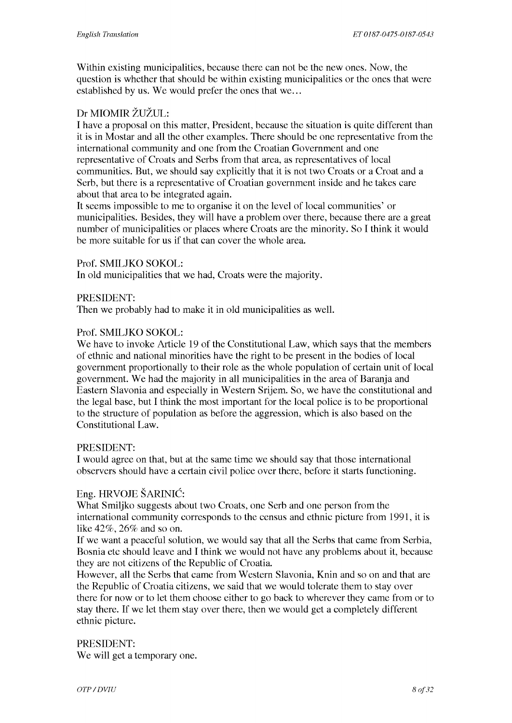Within existing municipalities, because there can not be the new ones. Now, the question is whether that should be within existing municipalities or the ones that were established by us. We would prefer the ones that we ...

# Dr MIOMIR ŽUŽUL:

I have a proposal on this matter, President, because the situation is quite different than it is in Mostar and all the other examples. There should be one representative from the international community and one from the Croatian Government and one representative of Croats and Serbs from that area, as representatives of local communities. But, we should say explicitly that it is not two Croats or a Croat and a Serb, but there is a representative of Croatian government inside and he takes care about that area to be integrated again.

It seems impossible to me to organise it on the level of local communities' or municipalities. Besides, they will have a problem over there, because there are a great number of municipalities or places where Croats are the minority. So I think it would be more suitable for us if that can cover the whole area.

### Prof. SMILJKO SOKOL:

In old municipalities that we had, Croats were the majority.

### PRESIDENT:

Then we probably had to make it in old municipalities as well.

### Prof. SMILJKO SOKOL:

We have to invoke Article 19 of the Constitutional Law, which says that the members of ethnic and national minorities have the right to be present in the bodies of local government proportionally to their role as the whole population of certain unit of local government. We had the majority in all municipalities in the area of Baranja and Eastern Slavonia and especially in Western Srijem. So, we have the constitutional and the legal base, but I think the most important for the local police is to be proportional to the structure of population as before the aggression, which is also based on the Constitutional Law.

### PRESIDENT:

I would agree on that, but at the same time we should say that those international observers should have a certain civil police over there, before it starts functioning.

### Eng. HRVOJE SARINIC:

What Smiljko suggests about two Croats, one Serb and one person from the international community corresponds to the census and ethnic picture from 1991, it is like 42%, 26% and so on.

If we want a peaceful solution, we would say that all the Serbs that came from Serbia, Bosnia etc should leave and I think we would not have any problems about it, because they are not citizens of the Republic of Croatia.

However, all the Serbs that came from Western Slavonia, Knin and so on and that are the Republic of Croatia citizens, we said that we would tolerate them to stay over there for now or to let them choose either to go back to wherever they came from or to stay there. If we let them stay over there, then we would get a completely different ethnic picture.

# PRESIDENT: We will get a temporary one.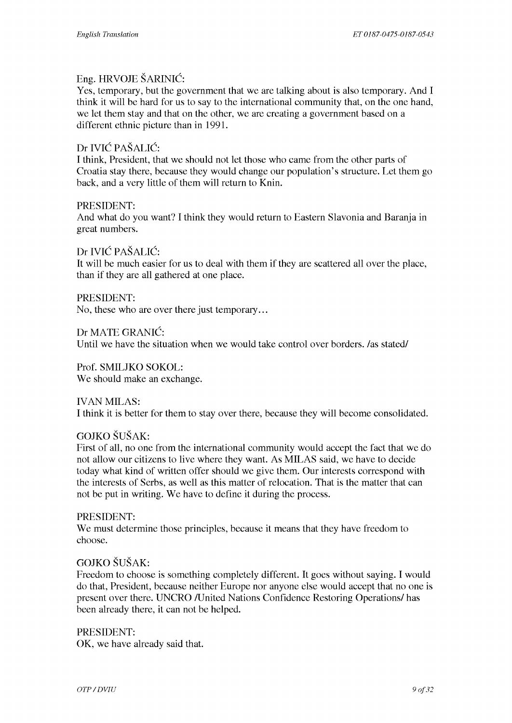# Eng. HRVOJE SARINIC:

Yes, temporary, but the government that we are talking about is also temporary. And I think it will be hard for us to say to the international community that, on the one hand, we let them stay and that on the other, we are creating a government based on a different ethnic picture than in 1991.

# Dr IVIC PASALIC:

I think, President, that we should not let those who came from the other parts of Croatia stay there, because they would change our population's structure. Let them go back, and a very little of them will return to Knin.

### PRESIDENT:

And what do you want? I think they would return to Eastern Slavonia and Baranja in great numbers.

Dr IVIĆ PAŠALIĆ:

It will be much easier for us to deal with them if they are scattered all over the place, than if they are all gathered at one place.

PRESIDENT: No, these who are over there just temporary ...

Dr MATE GRANIC: Until we have the situation when we would take control over borders. /as stated/

Prof. SMILJKO SOKOL: We should make an exchange.

IVAN MILAS: I think it is better for them to stay over there, because they will become consolidated.

# GOJKO SUSAK:

First of all, no one from the international community would accept the fact that we do not allow our citizens to live where they want. As MILAS said, we have to decide today what kind of written offer should we give them. Our interests correspond with the interests of Serbs, as well as this matter of relocation. That is the matter that can not be put in writing. We have to define it during the process.

### PRESIDENT:

We must determine those principles, because it means that they have freedom to choose.

### GOJKO SUSAK:

Freedom to choose is something completely different. It goes without saying. I would do that, President, because neither Europe nor anyone else would accept that no one is present over there. UNCRO /United Nations Confidence Restoring Operations/ has been already there, it can not be helped.

### PRESIDENT:

OK, we have already said that.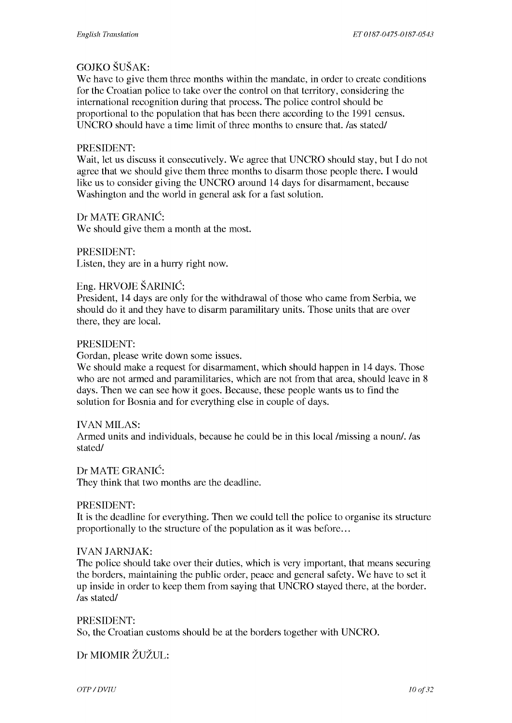# GOJKO SUSAK:

We have to give them three months within the mandate, in order to create conditions for the Croatian police to take over the control on that territory, considering the international recognition during that process. The police control should be proportional to the population that has been there according to the 1991 census. UNCRO should have a time limit of three months to ensure that. /as stated/

### PRESIDENT:

Wait, let us discuss it consecutively. We agree that UNCRO should stay, but I do not agree that we should give them three months to disarm those people there. I would like us to consider giving the UNCRO around 14 days for disarmament, because Washington and the world in general ask for a fast solution.

Dr MATE GRANIC: We should give them a month at the most.

PRESIDENT: Listen, they are in a hurry right now.

# Eng. HRVOJE SARINIC:

President, 14 days are only for the withdrawal of those who came from Serbia, we should do it and they have to disarm paramilitary units. Those units that are over there, they are local.

### PRESIDENT:

Gordan, please write down some issues.

We should make a request for disarmament, which should happen in 14 days. Those who are not armed and paramilitaries, which are not from that area, should leave in 8 days. Then we can see how it goes. Because, these people wants us to find the solution for Bosnia and for everything else in couple of days.

### IVAN MILAS:

Armed units and individuals, because he could be in this local /missing a noun/. /as stated/

Dr MATE GRANIC: They think that two months are the deadline.

### PRESIDENT:

It is the deadline for everything. Then we could tell the police to organise its structure proportionally to the structure of the population as it was before...

### IVAN JARNJAK:

The police should take over their duties, which is very important, that means securing the borders, maintaining the public order, peace and general safety. We have to set it up inside in order to keep them from saying that UNCRO stayed there, at the border. /as stated/

### PRESIDENT:

So, the Croatian customs should be at the borders together with UNCRO.

# Dr MIOMIR ŽUŽUL: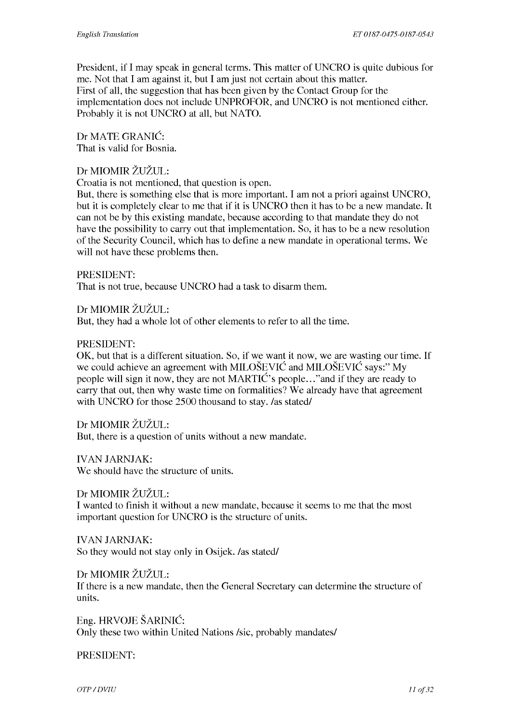President, if I may speak in general terms. This matter of UNCRO is quite dubious for me. Not that I am against it, but I am just not certain about this matter. First of all, the suggestion that has been given by the Contact Group for the implementation does not include UNPROFOR, and UNCRO is not mentioned either. Probably it is not UNCRO at all, but NATO.

Dr MATE GRANIC: That is valid for Bosnia.

### Dr MIOMIR ŽUŽUL:

Croatia is not mentioned, that question is open.

But, there is something else that is more important. I am not a priori against UNCRO, but it is completely clear to me that if it is UNCRO then it has to be a new mandate. It can not be by this existing mandate, because according to that mandate they do not have the possibility to carry out that implementation. So, it has to be a new resolution of the Security Council, which has to define a new mandate in operational terms. We will not have these problems then.

PRESIDENT: That is not true, because UNCRO had a task to disarm them.

Dr MIOMIR ŽUŽUL:

But, they had a whole lot of other elements to refer to all the time.

### PRESIDENT:

OK, but that is a different situation. So, if we want it now, we are wasting our time. If we could achieve an agreement with MILOSEVIC and MILOSEVIC says:" My people will sign it now, they are not MARTIC's people ... "and if they are ready to carry that out, then why waste time on formalities? We already have that agreement with UNCRO for those 2500 thousand to stay. /as stated/

Dr MIOMIR ŽUŽUL: But, there is a question of units without a new mandate.

IVAN JARNJAK: We should have the structure of units.

Dr MIOMIR ŽUŽUL:

I wanted to finish it without a new mandate, because it seems to me that the most important question for UNCRO is the structure of units.

IVAN JARNJAK: So they would not stay only in Osijek. /as stated/

Dr MIOMIR ŽUŽUL:

If there is a new mandate, then the General Secretary can determine the structure of units.

Eng. HRVOJE SARINIC: Only these two within United Nations /sic, probably mandates/

PRESIDENT: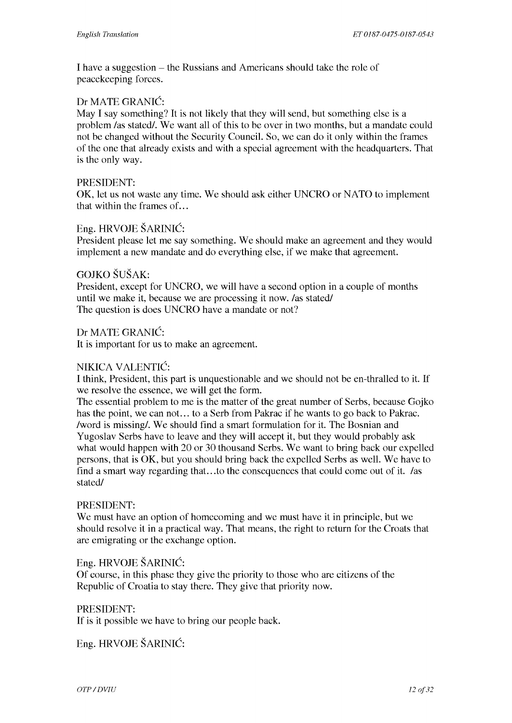I have a suggestion – the Russians and Americans should take the role of peacekeeping forces.

# Dr MATE GRANIC:

May I say something? It is not likely that they will send, but something else is a problem /as stated/. We want all of this to be over in two months, but a mandate could not be changed without the Security Council. So, we can do it only within the frames of the one that already exists and with a special agreement with the headquarters. That is the only way.

# PRESIDENT:

OK, let us not waste any time. We should ask either UNCRO or NATO to implement that within the frames of...

# Eng. HRVOJE SARINIC:

President please let me say something. We should make an agreement and they would implement a new mandate and do everything else, if we make that agreement.

# GOJKO SUSAK:

President, except for UNCRO, we will have a second option in a couple of months until we make it, because we are processing it now. /as stated/ The question is does UNCRO have a mandate or not?

Dr MATE GRANIC:

It is important for us to make an agreement.

### NIKICA VALENTIĆ:

I think, President, this part is unquestionable and we should not be en-thralled to it. If we resolve the essence, we will get the form.

The essential problem to me is the matter of the great number of Serbs, because Gojko has the point, we can not... to a Serb from Pakrac if he wants to go back to Pakrac. /word is missing/. We should find a smart formulation for it. The Bosnian and Yugoslav Serbs have to leave and they will accept it, but they would probably ask what would happen with 20 or 30 thousand Serbs. We want to bring back our expelled persons, that is OK, but you should bring back the expelled Serbs as well. We have to find a smart way regarding that. .. to the consequences that could come out of it. /as stated/

### PRESIDENT:

We must have an option of homecoming and we must have it in principle, but we should resolve it in a practical way. That means, the right to return for the Croats that are emigrating or the exchange option.

# Eng. HRVOJE SARINIC:

Of course, in this phase they give the priority to those who are citizens of the Republic of Croatia to stay there. They give that priority now.

### PRESIDENT:

If is it possible we have to bring our people back.

Eng. HRVOJE SARINIC: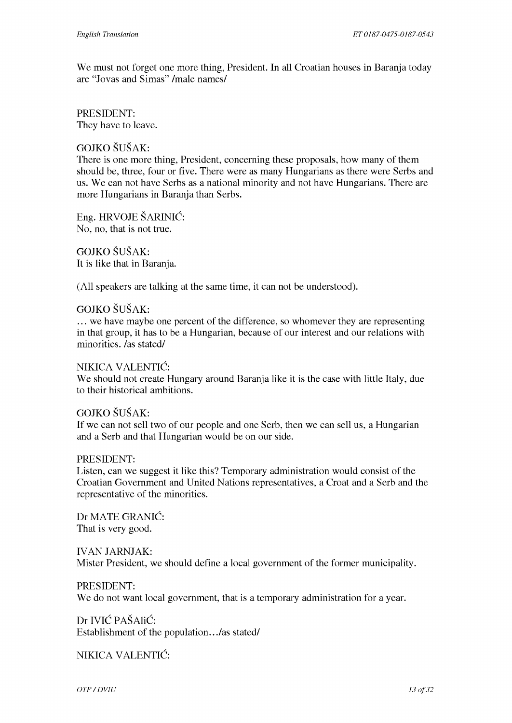We must not forget one more thing, President. In all Croatian houses in Baranja today are "Jovas and Simas" /male names/

PRESIDENT: They have to leave.

### GOJKO SUSAK:

There is one more thing, President, concerning these proposals, how many of them should be, three, four or five. There were as many Hungarians as there were Serbs and us. We can not have Serbs as a national minority and not have Hungarians. There are more Hungarians in Baranja than Serbs.

Eng. HRVOJE SARINIC: No, no, that is not true.

GOJKO SUSAK: It is like that in Baranja.

(All speakers are talking at the same time, it can not be understood).

### GOJKO SUSAK:

... we have maybe one percent of the difference, so whomever they are representing in that group, it has to be a Hungarian, because of our interest and our relations with minorities. /as stated/

### NIKICA VALENTIĆ:

We should not create Hungary around Baranja like it is the case with little Italy, due to their historical ambitions.

### GOJKO SUSAK:

If we can not sell two of our people and one Serb, then we can sell us, a Hungarian and a Serb and that Hungarian would be on our side.

### PRESIDENT:

Listen, can we suggest it like this? Temporary administration would consist of the Croatian Government and United Nations representatives, a Croat and a Serb and the representative of the minorities.

Dr MATE GRANIC: That is very good.

IVAN JARNJAK: Mister President, we should define a local government of the former municipality.

### PRESIDENT:

We do not want local government, that is a temporary administration for a year.

Dr IVIC PASAliC: Establishment of the population.../as stated/

NIKICA VALENTIĆ: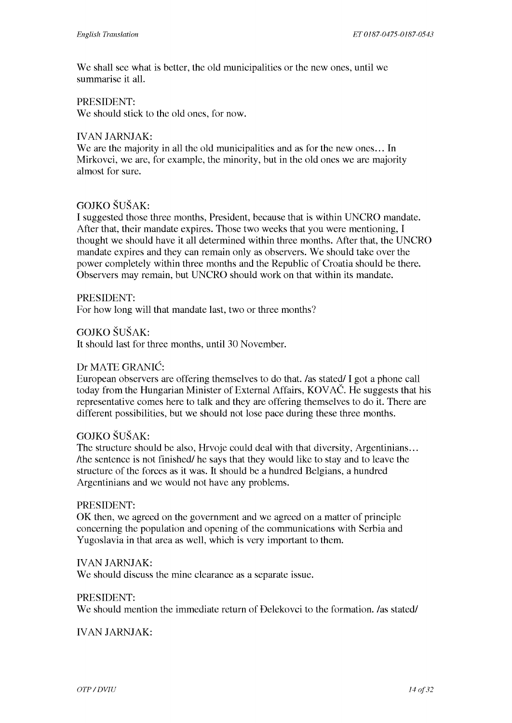We shall see what is better, the old municipalities or the new ones, until we summarise it all.

PRESIDENT:

We should stick to the old ones, for now.

# IVAN JARNJAK:

We are the majority in all the old municipalities and as for the new ones... In Mirkovci, we are, for example, the minority, but in the old ones we are majority almost for sure.

# GOJKO SUSAK:

I suggested those three months, President, because that is within UNCRO mandate. After that, their mandate expires. Those two weeks that you were mentioning, I thought we should have it all determined within three months. After that, the UNCRO mandate expires and they can remain only as observers. We should take over the power completely within three months and the Republic of Croatia should be there. Observers may remain, but UNCRO should work on that within its mandate.

PRESIDENT: For how long will that mandate last, two or three months?

GOJKO SUSAK: It should last for three months, until 30 November.

# Dr MATE GRANIC:

European observers are offering themselves to do that. /as stated/ I got a phone call today from the Hungarian Minister of External Affairs, KOVAC. He suggests that his representative comes here to talk and they are offering themselves to do it. There are different possibilities, but we should not lose pace during these three months.

# GOJKO SUSAK:

The structure should be also, Hrvoje could deal with that diversity, Argentinians ... /the sentence is not finished/ he says that they would like to stay and to leave the structure of the forces as it was. It should be a hundred Belgians, a hundred Argentinians and we would not have any problems.

### PRESIDENT:

OK then, we agreed on the government and we agreed on a matter of principle concerning the population and opening of the communications with Serbia and Yugoslavia in that area as well, which is very important to them.

### IVAN JARNJAK:

We should discuss the mine clearance as a separate issue.

### PRESIDENT:

We should mention the immediate return of Delekovci to the formation. /as stated/

### IVAN JARNJAK: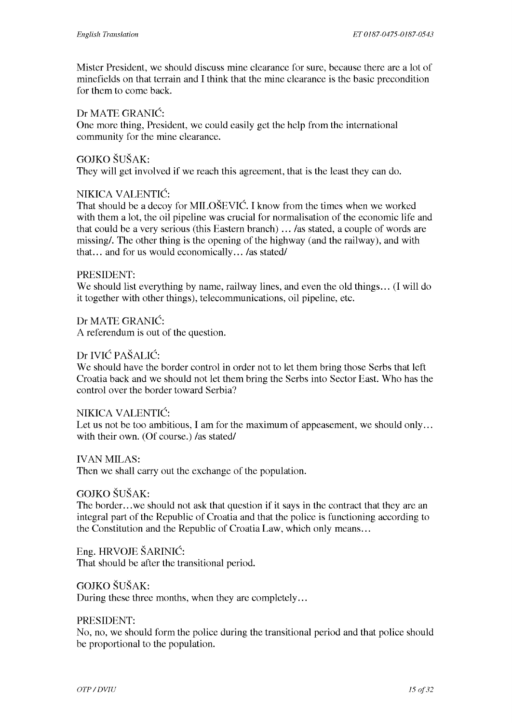Mister President, we should discuss mine clearance for sure, because there are a lot of minefields on that terrain and I think that the mine clearance is the basic precondition for them to come back.

# Dr MATE GRANIC:

One more thing, President, we could easily get the help from the international community for the mine clearance.

### GOJKO SUSAK:

They will get involved if we reach this agreement, that is the least they can do.

# NIKICA VALENTIĆ:

That should be a decoy for MILOSEVIC. I know from the times when we worked with them a lot, the oil pipeline was crucial for normalisation of the economic life and that could be a very serious (this Eastern branch) ... /as stated, a couple of words are missing/. The other thing is the opening of the highway (and the railway), and with that... and for us would economically... /as stated/

### PRESIDENT:

We should list everything by name, railway lines, and even the old things... (I will do it together with other things), telecommunications, oil pipeline, etc.

Dr MATE GRANIC: A referendum is out of the question.

### Dr IVIC PASALIC:

We should have the border control in order not to let them bring those Serbs that left Croatia back and we should not let them bring the Serbs into Sector East. Who has the control over the border toward Serbia?

### NIKICA VALENTIĆ:

Let us not be too ambitious, I am for the maximum of appeasement, we should only... with their own. (Of course.) /as stated/

### IVAN MILAS:

Then we shall carry out the exchange of the population.

### GOJKO SUSAK:

The border...we should not ask that question if it says in the contract that they are an integral part of the Republic of Croatia and that the police is functioning according to the Constitution and the Republic of Croatia Law, which only means ...

# Eng. HRVOJE SARINIC:

That should be after the transitional period.

# GOJKO SUSAK:

During these three months, when they are completely ...

### PRESIDENT:

No, no, we should form the police during the transitional period and that police should be proportional to the population.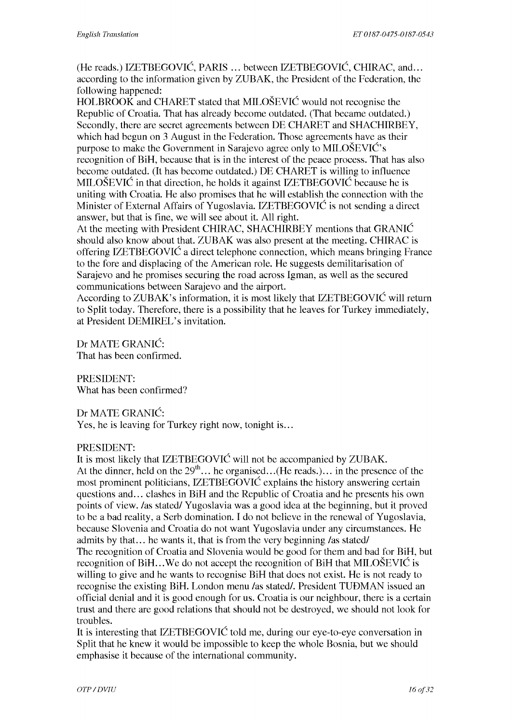(He reads.) IZETBEGOVIC, PARIS ... between IZETBEGOVIC, CHIRAC, and ... according to the information given by ZUBAK, the President of the Federation, the following happened:

HOLBROOK and CHARET stated that MILOSEVIC would not recognise the Republic of Croatia. That has already become outdated. (That became outdated.) Secondly, there are secret agreements between DE CHARET and SHACHIRBEY, which had begun on 3 August in the Federation. Those agreements have as their purpose to make the Government in Sarajevo agree only to MILOSEVIC's recognition of BiH, because that is in the interest of the peace process. That has also become outdated. (It has become outdated.) DE CHARET is willing to influence MILOSEVIC in that direction, he holds it against IZETBEGOVIC because he is uniting with Croatia. He also promises that he will establish the connection with the Minister of External Affairs of Yugoslavia. IZETBEGOVIC is not sending a direct answer, but that is fine, we will see about it. All right.

At the meeting with President CHIRAC, SHACHIRBEY mentions that GRANIC should also know about that. ZUBAK was also present at the meeting. CHIRAC is offering IZETBEGOVIC a direct telephone connection, which means bringing France to the fore and displacing of the American role. He suggests demilitarisation of Sarajevo and he promises securing the road across Igman, as well as the secured communications between Sarajevo and the airport.

According to ZUBAK's information, it is most likely that IZETBEGOVIC will return to Split today. Therefore, there is a possibility that he leaves for Turkey immediately, at President DEMIREL's invitation.

Dr MATE GRANIC:

That has been confirmed.

PRESIDENT: What has been confirmed?

Dr MATE GRANIC: Yes, he is leaving for Turkey right now, tonight is...

# PRESIDENT:

It is most likely that IZETBEGOVIC will not be accompanied by ZUBAK. At the dinner, held on the  $29<sup>th</sup>$ ... he organised... (He reads.)... in the presence of the most prominent politicians, IZETBEGOVIC explains the history answering certain questions and ... clashes in BiH and the Republic of Croatia and he presents his own points of view. /as stated/ Yugoslavia was a good idea at the beginning, but it proved to be a bad reality, a Serb domination. I do not believe in the renewal of Yugoslavia, because Slovenia and Croatia do not want Yugoslavia under any circumstances. He admits by that. .. he wants it, that is from the very beginning /as stated/ The recognition of Croatia and Slovenia would be good for them and bad for BiH, but recognition of BiH ... We do not accept the recognition of BiH that MILOSEVIC is willing to give and he wants to recognise BiH that does not exist. He is not ready to recognise the existing BiH. London menu /as stated/. President TUDMAN issued an official denial and it is good enough for us. Croatia is our neighbour, there is a certain trust and there are good relations that should not be destroyed, we should not look for troubles.

It is interesting that IZETBEGOVIC told me, during our eye-to-eye conversation in Split that he knew it would be impossible to keep the whole Bosnia, but we should emphasise it because of the international community.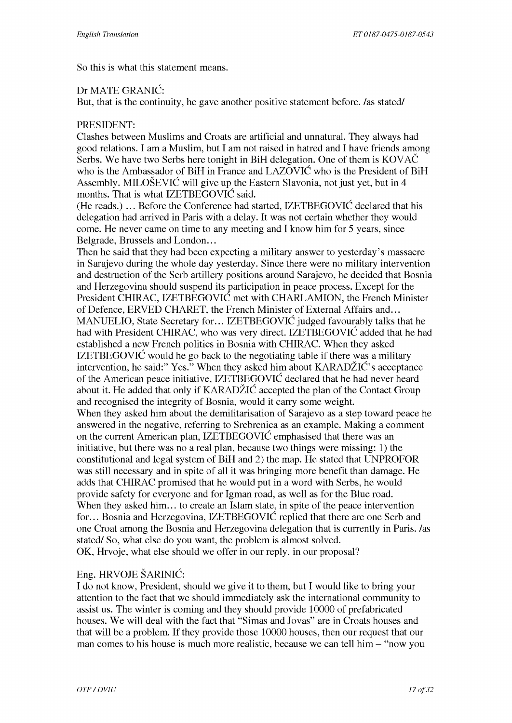So this is what this statement means.

# Dr MATE GRANIC:

But, that is the continuity, he gave another positive statement before. /as stated/

### PRESIDENT:

Clashes between Muslims and Croats are artificial and unnatural. They always had good relations. I am a Muslim, but I am not raised in hatred and I have friends among Serbs. We have two Serbs here tonight in BiH delegation. One of them is KOVAC who is the Ambassador of BiH in France and LAZOVIC who is the President of BiH Assembly. MILOSEVIC will give up the Eastern Slavonia, not just yet, but in 4 months. That is what IZETBEGOVIC said.

(He reads.) ... Before the Conference had started, IZETBEGOVIC declared that his delegation had arrived in Paris with a delay. It was not certain whether they would come. He never came on time to any meeting and I know him for 5 years, since Belgrade, Brussels and London...

Then he said that they had been expecting a military answer to yesterday's massacre in Sarajevo during the whole day yesterday. Since there were no military intervention and destruction of the Serb artillery positions around Sarajevo, he decided that Bosnia and Herzegovina should suspend its participation in peace process. Except for the President CHIRAC, IZETBEGOVIC met with CHARLAMION, the French Minister of Defence, ERVED CHARET, the French Minister of External Affairs and ... MANUELIO, State Secretary for ... IZETBEGOVIC judged favourably talks that he had with President CHIRAC, who was very direct. IZETBEGOVIC added that he had established a new French politics in Bosnia with CHIRAC. When they asked IZETBEGOVIC would he go back to the negotiating table if there was a military intervention, he said:" Yes." When they asked him about KARADŽIĆ's acceptance of the American peace initiative, IZETBEGOVIC declared that he had never heard about it. He added that only if KARADŽIĆ accepted the plan of the Contact Group and recognised the integrity of Bosnia, would it carry some weight. When they asked him about the demilitarisation of Sarajevo as a step toward peace he answered in the negative, referring to Srebrenica as an example. Making a comment on the current American plan, IZETBEGOVIC emphasised that there was an initiative, but there was no a real plan, because two things were missing: 1) the constitutional and legal system of BiH and 2) the map. He stated that UNPROFOR was still necessary and in spite of all it was bringing more benefit than damage. He adds that CHIRAC promised that he would put in a word with Serbs, he would provide safety for everyone and for Igman road, as well as for the Blue road. When they asked him... to create an Islam state, in spite of the peace intervention for... Bosnia and Herzegovina, IZETBEGOVIC replied that there are one Serb and one Croat among the Bosnia and Herzegovina delegation that is currently in Paris. /as stated/ So, what else do you want, the problem is almost solved. OK, Hrvoje, what else should we offer in our reply, in our proposal?

### Eng. HRVOJE SARINIC:

I do not know, President, should we give it to them, but I would like to bring your attention to the fact that we should immediately ask the international community to assist us. The winter is coming and they should provide 10000 of prefabricated houses. We will deal with the fact that "Simas and Jovas" are in Croats houses and that will be a problem. If they provide those 10000 houses, then our request that our man comes to his house is much more realistic, because we can tell him  $-$  "now you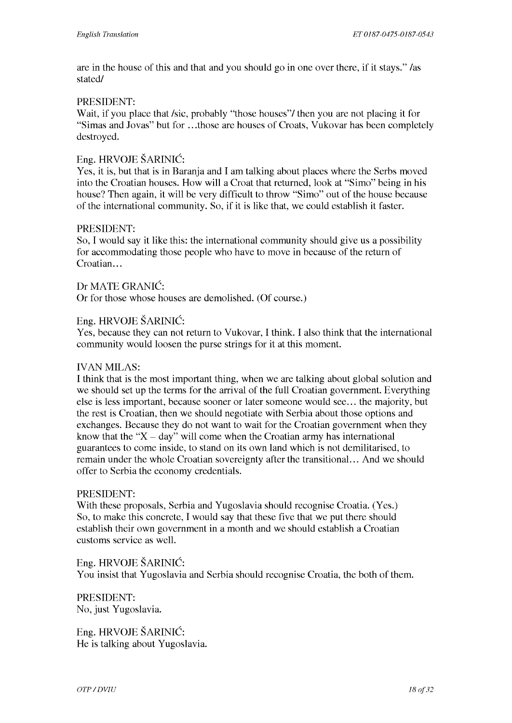are in the house of this and that and you should go in one over there, if it stays." /as stated/

### PRESIDENT:

Wait, if you place that /sic, probably "those houses"/ then you are not placing it for "Simas and Jovas" but for ... those are houses of Croats, Vukovar has been completely destroyed.

# Eng. HRVOJE SARINIC:

Yes, it is, but that is in Baranja and I am talking about places where the Serbs moved into the Croatian houses. How will a Croat that returned, look at "Simo" being in his house? Then again, it will be very difficult to throw "Simo" out of the house because of the international community. So, if it is like that, we could establish it faster.

### PRESIDENT:

So, I would say it like this: the international community should give us a possibility for accommodating those people who have to move in because of the return of Croatian...

Dr MATE GRANIC:

Or for those whose houses are demolished. (Of course.)

# Eng. HRVOJE SARINIC:

Yes, because they can not return to Vukovar, I think. I also think that the international community would loosen the purse strings for it at this moment.

### IVAN MILAS:

I think that is the most important thing, when we are talking about global solution and we should set up the terms for the arrival of the full Croatian government. Everything else is less important, because sooner or later someone would see ... the majority, but the rest is Croatian, then we should negotiate with Serbia about those options and exchanges. Because they do not want to wait for the Croatian government when they know that the " $X - day$ " will come when the Croatian army has international guarantees to come inside, to stand on its own land which is not demilitarised, to remain under the whole Croatian sovereignty after the transitional. .. And we should offer to Serbia the economy credentials.

### PRESIDENT:

With these proposals, Serbia and Yugoslavia should recognise Croatia. (Yes.) So, to make this concrete, I would say that these five that we put there should establish their own government in a month and we should establish a Croatian customs service as well.

Eng. HRVOJE SARINIC: You insist that Yugoslavia and Serbia should recognise Croatia, the both of them.

PRESIDENT: No, just Yugoslavia.

Eng. HRVOJE SARINIC: He is talking about Yugoslavia.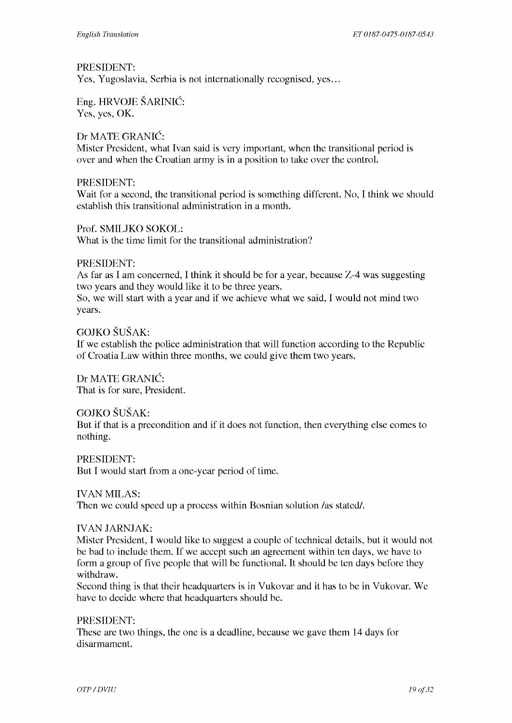### PRESIDENT:

Yes, Yugoslavia, Serbia is not internationally recognised, yes ...

Eng. HRVOJE SARINIC: Yes, yes, OK.

### Dr MATE GRANIC:

Mister President, what Ivan said is very important, when the transitional period is over and when the Croatian army is in a position to take over the control.

### PRESIDENT:

Wait for a second, the transitional period is something different. No, I think we should establish this transitional administration in a month.

### Prof. SMILJKO SOKOL:

What is the time limit for the transitional administration?

### PRESIDENT:

As far as I am concerned, I think it should be for a year, because Z-4 was suggesting two years and they would like it to be three years.

So, we will start with a year and if we achieve what we said, I would not mind two years.

# GOJKO SUSAK:

If we establish the police administration that will function according to the Republic of Croatia Law within three months, we could give them two years.

Dr MATE GRANIC: That is for sure, President.

GOJKO SUSAK:

But if that is a precondition and if it does not function, then everything else comes to nothing.

PRESIDENT: But I would start from a one-year period of time.

IVAN MILAS:

Then we could speed up a process within Bosnian solution /as stated/.

### IVAN JARNJAK:

Mister President, I would like to suggest a couple of technical details, but it would not be bad to include them. If we accept such an agreement within ten days, we have to form a group of five people that will be functional. It should be ten days before they withdraw.

Second thing is that their headquarters is in Vukovar and it has to be in Vukovar. We have to decide where that headquarters should be.

### PRESIDENT:

These are two things, the one is a deadline, because we gave them 14 days for disarmament.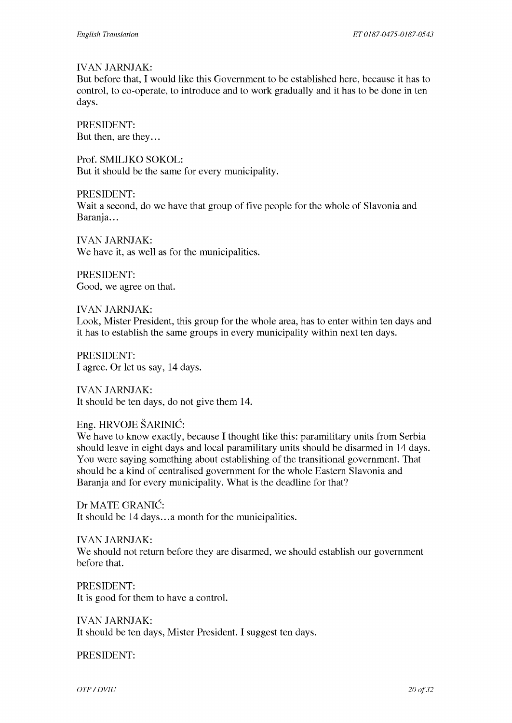### IVAN JARNJAK:

But before that, I would like this Government to be established here, because it has to control, to co-operate, to introduce and to work gradually and it has to be done in ten days.

PRESIDENT: But then, are they...

Prof. SMILJKO SOKOL: But it should be the same for every municipality.

PRESIDENT:

Wait a second, do we have that group of five people for the whole of Slavonia and Baranja...

IVAN JARNJAK: We have it, as well as for the municipalities.

PRESIDENT: Good, we agree on that.

IVAN JARNJAK: Look, Mister President, this group for the whole area, has to enter within ten days and it has to establish the same groups in every municipality within next ten days.

PRESIDENT: I agree. Or let us say, 14 days.

IVAN JARNJAK: It should be ten days, do not give them 14.

Eng. HRVOJE SARINIC:

We have to know exactly, because I thought like this: paramilitary units from Serbia should leave in eight days and local paramilitary units should be disarmed in 14 days. You were saying something about establishing of the transitional government. That should be a kind of centralised government for the whole Eastern Slavonia and Baranja and for every municipality. What is the deadline for that?

Dr MATE GRANIC: It should be 14 days...a month for the municipalities.

IVAN JARNJAK: We should not return before they are disarmed, we should establish our government before that.

PRESIDENT: It is good for them to have a control.

IVAN JARNJAK: It should be ten days, Mister President. I suggest ten days.

PRESIDENT:

*OTP* / DVIU 20 of 32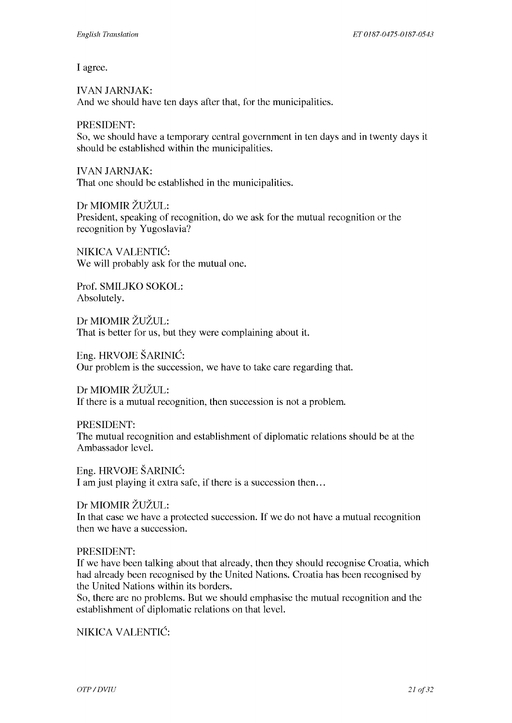I agree.

IVAN JARNJAK: And we should have ten days after that, for the municipalities.

PRESIDENT: So, we should have a temporary central government in ten days and in twenty days it should be established within the municipalities.

IVAN JARNJAK: That one should be established in the municipalities.

Dr MIOMIR ŽUŽUL: President, speaking of recognition, do we ask for the mutual recognition or the recognition by Yugoslavia?

NIKICA VALENTIĆ: We will probably ask for the mutual one.

Prof. SMILJKO SOKOL: Absolutely.

Dr MIOMIR ŽUŽUL: That is better for us, but they were complaining about it.

Eng. HRVOJE SARINIC: Our problem is the succession, we have to take care regarding that.

Dr MIOMIR ŽUŽUL: If there is a mutual recognition, then succession is not a problem.

PRESIDENT: The mutual recognition and establishment of diplomatic relations should be at the Ambassador level.

Eng. HRVOJE SARINIC: I am just playing it extra safe, if there is a succession then...

Dr MIOMIR ŽUŽUL: In that case we have a protected succession. If we do not have a mutual recognition then we have a succession.

PRESIDENT:

If we have been talking about that already, then they should recognise Croatia, which had already been recognised by the United Nations. Croatia has been recognised by the United Nations within its borders.

So, there are no problems. But we should emphasise the mutual recognition and the establishment of diplomatic relations on that level.

NIKICA V ALENTIC: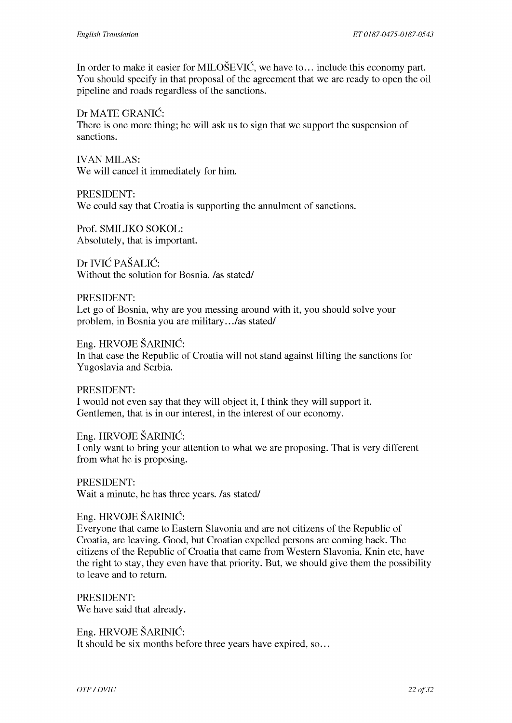In order to make it easier for MILOŠEVIC, we have to... include this economy part. You should specify in that proposal of the agreement that we are ready to open the oil pipeline and roads regardless of the sanctions.

### Dr MATE GRANIC:

There is one more thing; he will ask us to sign that we support the suspension of sanctions.

IVAN MILAS: We will cancel it immediately for him.

PRESIDENT: We could say that Croatia is supporting the annulment of sanctions.

Prof. SMILJKO SOKOL: Absolutely, that is important.

Dr IVIC PASALIC: Without the solution for Bosnia. /as stated/

PRESIDENT:

Let go of Bosnia, why are you messing around with it, you should solve your problem, in Bosnia you are military .. ./as stated/

Eng. HRVOJE SARINIC: In that case the Republic of Croatia will not stand against lifting the sanctions for Yugoslavia and Serbia.

PRESIDENT: I would not even say that they will object it, I think they will support it. Gentlemen, that is in our interest, in the interest of our economy.

Eng. HRVOJE SARINIC: I only want to bring your attention to what we are proposing. That is very different from what he is proposing.

PRESIDENT: Wait a minute, he has three years. /as stated/

Eng. HRVOJE SARINIC:

Everyone that came to Eastern Slavonia and are not citizens of the Republic of Croatia, are leaving. Good, but Croatian expelled persons are coming back. The citizens of the Republic of Croatia that came from Western Slavonia, Knin etc, have the right to stay, they even have that priority. But, we should give them the possibility to leave and to return.

PRESIDENT: We have said that already.

Eng. HRVOJE SARINIC: It should be six months before three years have expired, so...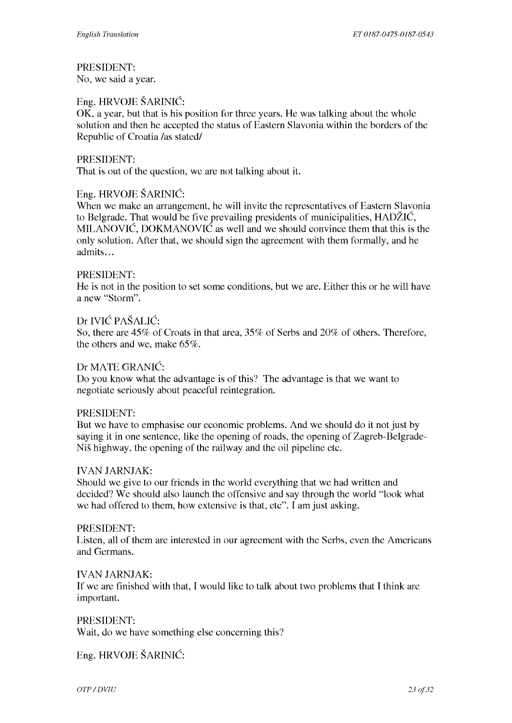### PRESIDENT: No, we said a year.

# Eng. HRVOJE SARINIC:

OK, a year, but that is his position for three years. He was talking about the whole solution and then he accepted the status of Eastern Slavonia within the borders of the Republic of Croatia /as stated/

### PRESIDENT:

That is out of the question, we are not talking about it.

### Eng. HRVOJE SARINIC:

When we make an arrangement, he will invite the representatives of Eastern Slavonia to Belgrade. That would be five prevailing presidents of municipalities, HADŽIĆ, MILANOVIC, DOKMANOVIC as well and we should convince them that this is the only solution. After that, we should sign the agreement with them formally, and he admits...

### PRESIDENT:

He is not in the position to set some conditions, but we are. Either this or he will have a new "Storm".

### Dr IVIC PASALIC:

So, there are 45% of Croats in that area, 35% of Serbs and 20% of others. Therefore, the others and we, make 65%.

### Dr MATE GRANIC:

Do you know what the advantage is of this? The advantage is that we want to negotiate seriously about peaceful reintegration.

### PRESIDENT:

But we have to emphasise our economic problems. And we should do it not just by saying it in one sentence, like the opening of roads, the opening of Zagreb-Belgrade-Nis highway, the opening of the railway and the oil pipeline etc.

### IVAN JARNJAK:

Should we give to our friends in the world everything that we had written and decided? We should also launch the offensive and say through the world "look what we had offered to them, how extensive is that, etc". I am just asking.

### PRESIDENT:

Listen, all of them are interested in our agreement with the Serbs, even the Americans and Germans.

### IVAN JARNJAK:

If we are finished with that, I would like to talk about two problems that I think are important.

### PRESIDENT:

Wait, do we have something else concerning this?

# Eng. HRVOJE SARINIC: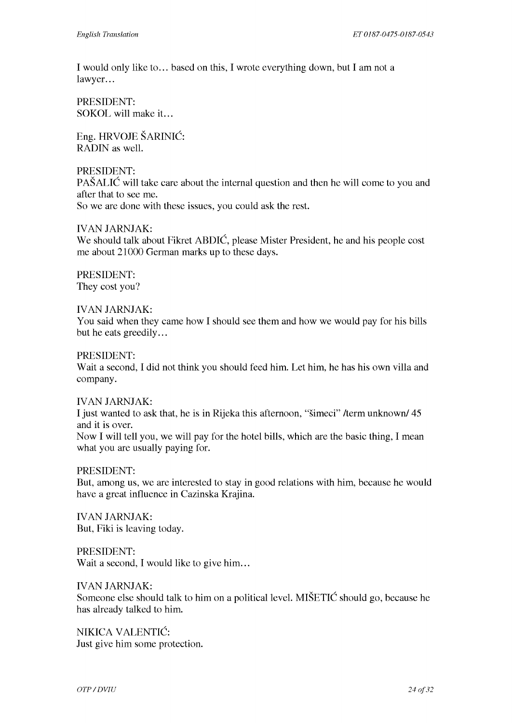I would only like to... based on this, I wrote everything down, but I am not a lawyer...

PRESIDENT: SOKOL will make it...

Eng. HRVOJE SARINIC: RADIN as well.

### PRESIDENT:

PAŠALIC will take care about the internal question and then he will come to you and after that to see me. So we are done with these issues, you could ask the rest.

### IVAN JARNJAK:

We should talk about Fikret ABDIC, please Mister President, he and his people cost me about 21000 German marks up to these days.

PRESIDENT: They cost you?

### IVAN JARNJAK:

You said when they came how I should see them and how we would pay for his bills but he eats greedily...

PRESIDENT:

Wait a second, I did not think you should feed him. Let him, he has his own villa and company.

### IVAN JARNJAK:

I just wanted to ask that, he is in Rijeka this afternoon, "simeci" /term unknown/ 45 and it is over.

Now I will tell you, we will pay for the hotel bills, which are the basic thing, I mean what you are usually paying for.

### PRESIDENT:

But, among us, we are interested to stay in good relations with him, because he would have a great influence in Cazinska Krajina.

IVAN JARNJAK: But, Fiki is leaving today.

PRESIDENT: Wait a second, I would like to give him...

IVAN JARNJAK:

Someone else should talk to him on a political level. MISETIC should go, because he has already talked to him.

NIKICA VALENTIĆ: Just give him some protection.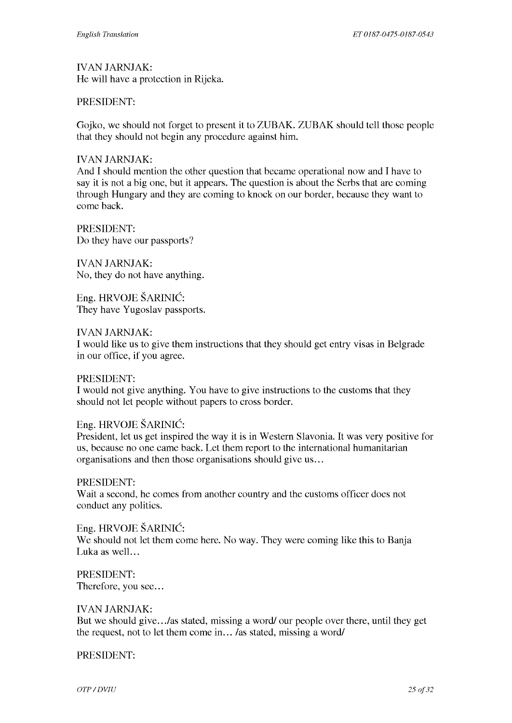IVAN JARNJAK: He will have a protection in Rijeka.

### PRESIDENT:

Gojko, we should not forget to present it to ZUBAK. ZUBAK should tell those people that they should not begin any procedure against him.

### IVAN JARNJAK:

And I should mention the other question that became operational now and I have to say it is not a big one, but it appears. The question is about the Serbs that are coming through Hungary and they are coming to knock on our border, because they want to come back.

PRESIDENT: Do they have our passports?

IVAN JARNJAK: No, they do not have anything.

Eng. HRVOJE SARINIC: They have Yugoslav passports.

IVAN JARNJAK:

I would like us to give them instructions that they should get entry visas in Belgrade in our office, if you agree.

PRESIDENT:

I would not give anything. You have to give instructions to the customs that they should not let people without papers to cross border.

### Eng. HRVOJE SARINIC:

President, let us get inspired the way it is in Western Slavonia. It was very positive for us, because no one came back. Let them report to the international humanitarian organisations and then those organisations should give us ...

### PRESIDENT:

Wait a second, he comes from another country and the customs officer does not conduct any politics.

Eng. HRVOJE SARINIC: We should not let them come here. No way. They were coming like this to Banja Luka as well...

PRESIDENT: Therefore, you see...

### IVAN JARNJAK:

But we should give .. ./as stated, missing a word/ our people over there, until they get the request, not to let them come in ... /as stated, missing a word/

PRESIDENT: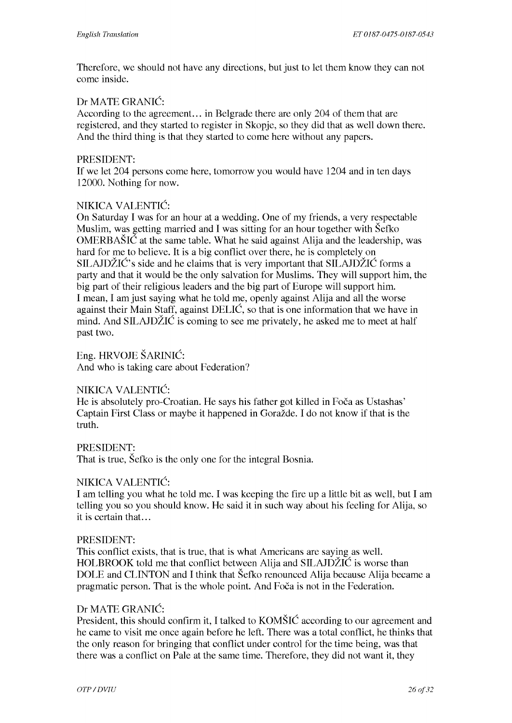Therefore, we should not have any directions, but just to let them know they can not come inside.

# Dr MATE GRANIC:

According to the agreement. .. in Belgrade there are only 204 of them that are registered, and they started to register in Skopje, so they did that as well down there. And the third thing is that they started to come here without any papers.

### PRESIDENT:

If we let 204 persons come here, tomorrow you would have 1204 and in ten days 12000. Nothing for now.

# NIKICA VALENTIĆ:

On Saturday I was for an hour at a wedding. One of my friends, a very respectable Muslim, was getting married and I was sitting for an hour together with Sefko OMERBASIC at the same table. What he said against Alija and the leadership, was hard for me to believe. It is a big conflict over there, he is completely on SILAJDŽIĆ's side and he claims that is very important that SILAJDŽIĆ forms a party and that it would be the only salvation for Muslims. They will support him, the big part of their religious leaders and the big part of Europe will support him. I mean, I am just saying what he told me, openly against Alija and all the worse against their Main Staff, against DELIC, so that is one information that we have in mind. And SILAJDŽIĆ is coming to see me privately, he asked me to meet at half past two.

Eng. HRVOJE SARINIC: And who is taking care about Federation?

### NIKICA VALENTIĆ:

He is absolutely pro-Croatian. He says his father got killed in Foča as Ustashas' Captain First Class or maybe it happened in Gorazde. I do not know if that is the truth.

### PRESIDENT:

That is true, Šefko is the only one for the integral Bosnia.

### NIKICA VALENTIĆ:

I am telling you what he told me. I was keeping the fire up a little bit as well, but I am telling you so you should know. He said it in such way about his feeling for Alija, so it is certain that. ..

### PRESIDENT:

This conflict exists, that is true, that is what Americans are saying as well. HOLBROOK told me that conflict between Alija and SILAJDŽIĆ is worse than DOLE and CLINTON and I think that Sefko renounced Alija because Alija became a pragmatic person. That is the whole point. And Foca is not in the Federation.

### Dr MATE GRANIC:

President, this should confirm it, I talked to KOMSIC according to our agreement and he came to visit me once again before he left. There was a total conflict, he thinks that the only reason for bringing that conflict under control for the time being, was that there was a conflict on Pale at the same time. Therefore, they did not want it, they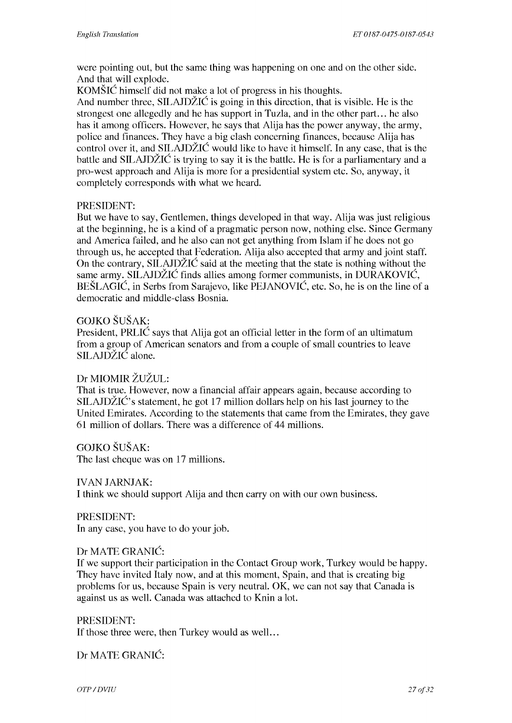were pointing out, but the same thing was happening on one and on the other side. And that will explode.

KOMSIC himself did not make a lot of progress in his thoughts.

And number three, SILAJDŽIĆ is going in this direction, that is visible. He is the strongest one allegedly and he has support in Tuzla, and in the other part. .. he also has it among officers. However, he says that Alija has the power anyway, the army, police and finances. They have a big clash concerning finances, because Alija has control over it, and SILAJDŽIĆ would like to have it himself. In any case, that is the battle and SILAJDŽIC is trying to say it is the battle. He is for a parliamentary and a pro-west approach and Alija is more for a presidential system etc. So, anyway, it completely corresponds with what we heard.

### PRESIDENT:

But we have to say, Gentlemen, things developed in that way. Alija was just religious at the beginning, he is a kind of a pragmatic person now, nothing else. Since Germany and America failed, and he also can not get anything from Islam if he does not go through us, he accepted that Federation. Alija also accepted that army and joint staff. On the contrary, SILAJDZIC said at the meeting that the state is nothing without the same army. SILAJDŽIĆ finds allies among former communists, in DURAKOVIĆ, BEŠLAGIĆ, in Serbs from Sarajevo, like PEJANOVIĆ, etc. So, he is on the line of a democratic and middle-class Bosnia.

### GOJKO SUSAK:

President, PRLIC says that Alija got an official letter in the form of an ultimatum from a group of American senators and from a couple of small countries to leave SILAJDŽIĆ alone.

### Dr MIOMIR ŽUŽUL:

That is true. However, now a financial affair appears again, because according to SILAJDŽIĆ's statement, he got 17 million dollars help on his last journey to the United Emirates. According to the statements that came from the Emirates, they gave 61 million of dollars. There was a difference of 44 millions.

### GOJKO SUSAK:

The last cheque was on 17 millions.

### IVAN JARNJAK:

I think we should support Alija and then carry on with our own business.

### PRESIDENT:

In any case, you have to do your job.

### Dr MATE GRANIC:

If we support their participation in the Contact Group work, Turkey would be happy. They have invited Italy now, and at this moment, Spain, and that is creating big problems for us, because Spain is very neutral. OK, we can not say that Canada is against us as well. Canada was attached to Knin a lot.

# PRESIDENT:

If those three were, then Turkey would as well...

# Dr MATE GRANIC:

*OTP* / DVIU 27 of 32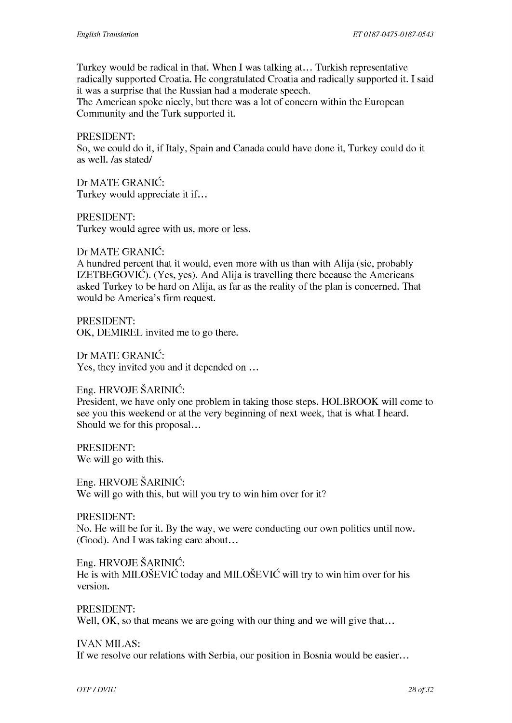Turkey would be radical in that. When I was talking at. .. Turkish representative radically supported Croatia. He congratulated Croatia and radically supported it. I said it was a surprise that the Russian had a moderate speech.

The American spoke nicely, but there was a lot of concern within the European Community and the Turk supported it.

### PRESIDENT:

So, we could do it, if Italy, Spain and Canada could have done it, Turkey could do it as well. /as stated/

Dr MATE GRANIC: Turkey would appreciate it if...

PRESIDENT:

Turkey would agree with us, more or less.

Dr MATE GRANIC:

A hundred percent that it would, even more with us than with Alija (sic, probably IZETBEGOVIC). (Yes, yes). And Alija is travelling there because the Americans asked Turkey to be hard on Alija, as far as the reality of the plan is concerned. That would be America's firm request.

PRESIDENT: OK, DEMIREL invited me to go there.

Dr MATE GRANIC: Yes, they invited you and it depended on ...

### Eng. HRVOJE SARINIC:

President, we have only one problem in taking those steps. HOLBROOK will come to see you this weekend or at the very beginning of next week, that is what I heard. Should we for this proposal...

PRESIDENT: We will go with this.

Eng. HRVOJE SARINIC: We will go with this, but will you try to win him over for it?

PRESIDENT:

No. He will be for it. By the way, we were conducting our own politics until now. (Good). And I was taking care about. ..

Eng. HRVOJE SARINIC:

He is with MILOSEVIC today and MILOSEVIC will try to win him over for his version.

PRESIDENT: Well, OK, so that means we are going with our thing and we will give that...

IVAN MILAS:

If we resolve our relations with Serbia, our position in Bosnia would be easier ...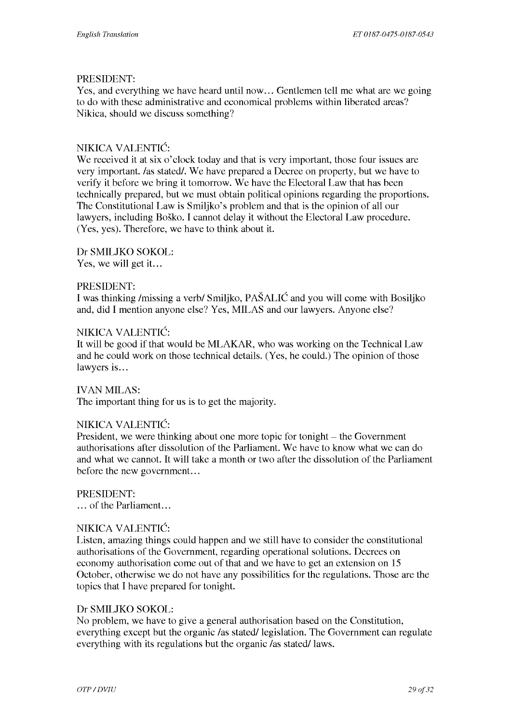### PRESIDENT:

Yes, and everything we have heard until now ... Gentlemen tell me what are we going to do with these administrative and economical problems within liberated areas? Nikica, should we discuss something?

# NIKICA VALENTIĆ:

We received it at six o'clock today and that is very important, those four issues are very important. /as stated/. We have prepared a Decree on property, but we have to verify it before we bring it tomorrow. We have the Electoral Law that has been technically prepared, but we must obtain political opinions regarding the proportions. The Constitutional Law is Smiljko's problem and that is the opinion of all our lawyers, including Boško. I cannot delay it without the Electoral Law procedure. (Yes, yes). Therefore, we have to think about it.

Dr SMILJKO SOKOL:

Yes, we will get it...

### PRESIDENT:

I was thinking /missing a verb/ Smiljko, PASALIC and you will come with Bosiljko and, did I mention anyone else? Yes, MILAS and our lawyers. Anyone else?

### NIKICA VALENTIĆ:

It will be good if that would be MLAKAR, who was working on the Technical Law and he could work on those technical details. (Yes, he could.) The opinion of those lawyers is...

IVAN MILAS: The important thing for us is to get the majority.

### NIKICA VALENTIĆ:

President, we were thinking about one more topic for tonight - the Government authorisations after dissolution of the Parliament. We have to know what we can do and what we cannot. It will take a month or two after the dissolution of the Parliament before the new government...

PRESIDENT:

... of the Parliament...

### NIKICA VALENTIĆ:

Listen, amazing things could happen and we still have to consider the constitutional authorisations of the Government, regarding operational solutions. Decrees on economy authorisation come out of that and we have to get an extension on 15 October, otherwise we do not have any possibilities for the regulations. Those are the topics that I have prepared for tonight.

### Dr SMILJKO SOKOL:

No problem, we have to give a general authorisation based on the Constitution, everything except but the organic /as stated/ legislation. The Government can regulate everything with its regulations but the organic /as stated/ laws.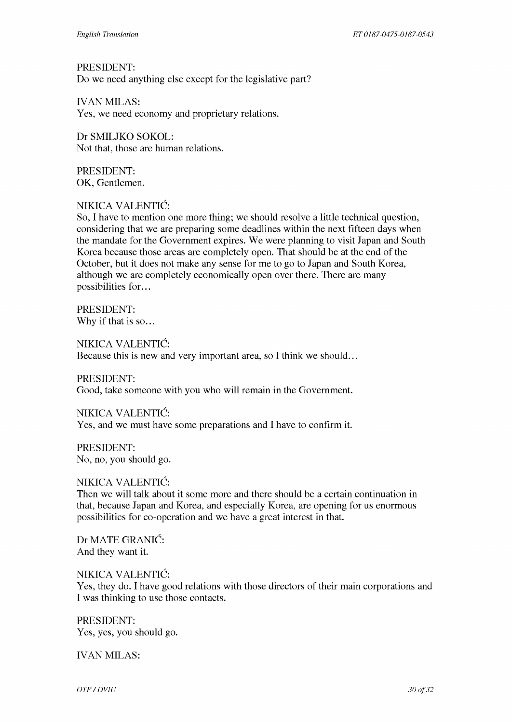PRESIDENT:

Do we need anything else except for the legislative part?

IVAN MILAS: Yes, we need economy and proprietary relations.

Dr SMILJKO SOKOL: Not that, those are human relations.

PRESIDENT: OK, Gentlemen.

NIKICA VALENTIĆ:

So, I have to mention one more thing; we should resolve a little technical question, considering that we are preparing some deadlines within the next fifteen days when the mandate for the Government expires. We were planning to visit Japan and South Korea because those areas are completely open. That should be at the end of the October, but it does not make any sense for me to go to Japan and South Korea, although we are completely economically open over there. There are many possibilities for...

PRESIDENT: Why if that is so...

NIKICA VALENTIĆ: Because this is new and very important area, so I think we should...

PRESIDENT: Good, take someone with you who will remain in the Government.

NIKICA VALENTIĆ: Yes, and we must have some preparations and I have to confirm it.

PRESIDENT: No, no, you should go.

NIKICA VALENTIĆ: Then we will talk about it some more and there should be a certain continuation in that, because Japan and Korea, and especially Korea, are opening for us enormous possibilities for co-operation and we have a great interest in that.

Dr MATE GRANIC: And they want it.

NIKICA VALENTIĆ: Yes, they do. I have good relations with those directors of their main corporations and I was thinking to use those contacts.

PRESIDENT: Yes, yes, you should go.

IVAN MILAS: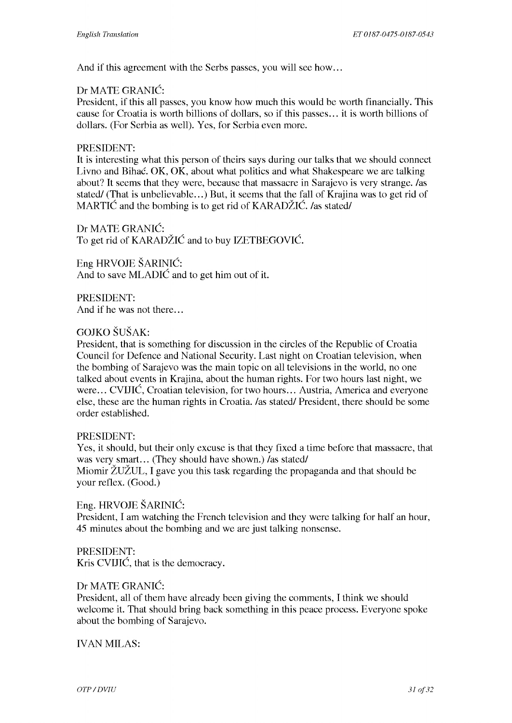And if this agreement with the Serbs passes, you will see how...

# Dr MATE GRANIC:

President, if this all passes, you know how much this would be worth financially. This cause for Croatia is worth billions of dollars, so if this passes ... it is worth billions of dollars. (For Serbia as well). Yes, for Serbia even more.

### PRESIDENT:

It is interesting what this person of theirs says during our talks that we should connect Livno and Bihac. OK, OK, about what politics and what Shakespeare we are talking about? It seems that they were, because that massacre in Sarajevo is very strange. /as stated/ (That is unbelievable...) But, it seems that the fall of Krajina was to get rid of MARTIC and the bombing is to get rid of KARADŽIC. las stated

Dr MATE GRANIC: To get rid of KARADŽIĆ and to buy IZETBEGOVIĆ.

Eng HRVOJE SARINIC: And to save MLADIC and to get him out of it.

PRESIDENT: And if he was not there...

### GOJKO SUSAK:

President, that is something for discussion in the circles of the Republic of Croatia Council for Defence and National Security. Last night on Croatian television, when the bombing of Sarajevo was the main topic on all televisions in the world, no one talked about events in Krajina, about the human rights. For two hours last night, we were... CVIJIĆ, Croatian television, for two hours... Austria, America and everyone else, these are the human rights in Croatia. /as stated/ President, there should be some order established.

### PRESIDENT:

Yes, it should, but their only excuse is that they fixed a time before that massacre, that was very smart... (They should have shown.) /as stated/ Miomir ŽUŽUL, I gave you this task regarding the propaganda and that should be your reflex. (Good.)

# Eng. HRVOJE SARINIC:

President, I am watching the French television and they were talking for half an hour, 45 minutes about the bombing and we are just talking nonsense.

### PRESIDENT:

Kris CVIJIC, that is the democracy.

### Dr MATE GRANIC:

President, all of them have already been giving the comments, I think we should welcome it. That should bring back something in this peace process. Everyone spoke about the bombing of Sarajevo.

IVAN MILAS: